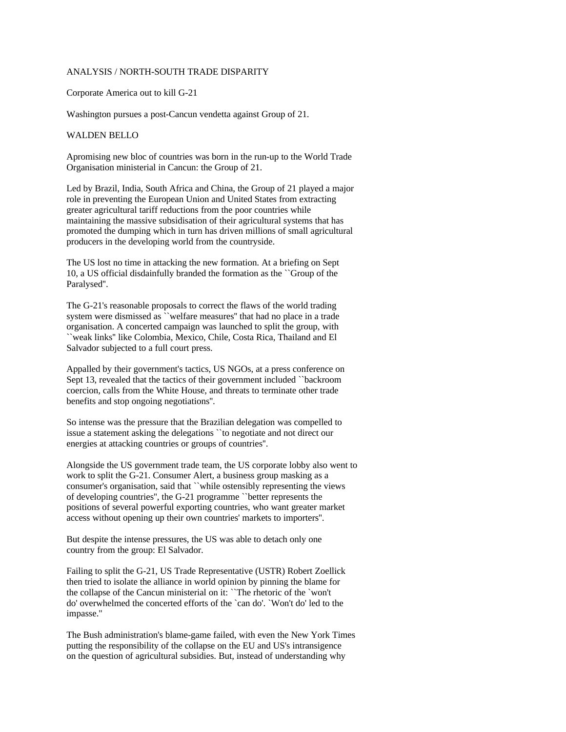## ANALYSIS / NORTH-SOUTH TRADE DISPARITY

## Corporate America out to kill G-21

Washington pursues a post-Cancun vendetta against Group of 21.

## WALDEN BELLO

Apromising new bloc of countries was born in the run-up to the World Trade Organisation ministerial in Cancun: the Group of 21.

Led by Brazil, India, South Africa and China, the Group of 21 played a major role in preventing the European Union and United States from extracting greater agricultural tariff reductions from the poor countries while maintaining the massive subsidisation of their agricultural systems that has promoted the dumping which in turn has driven millions of small agricultural producers in the developing world from the countryside.

The US lost no time in attacking the new formation. At a briefing on Sept 10, a US official disdainfully branded the formation as the ``Group of the Paralysed''.

The G-21's reasonable proposals to correct the flaws of the world trading system were dismissed as ``welfare measures'' that had no place in a trade organisation. A concerted campaign was launched to split the group, with ``weak links'' like Colombia, Mexico, Chile, Costa Rica, Thailand and El Salvador subjected to a full court press.

Appalled by their government's tactics, US NGOs, at a press conference on Sept 13, revealed that the tactics of their government included ``backroom coercion, calls from the White House, and threats to terminate other trade benefits and stop ongoing negotiations''.

So intense was the pressure that the Brazilian delegation was compelled to issue a statement asking the delegations ``to negotiate and not direct our energies at attacking countries or groups of countries''.

Alongside the US government trade team, the US corporate lobby also went to work to split the G-21. Consumer Alert, a business group masking as a consumer's organisation, said that ``while ostensibly representing the views of developing countries'', the G-21 programme ``better represents the positions of several powerful exporting countries, who want greater market access without opening up their own countries' markets to importers''.

But despite the intense pressures, the US was able to detach only one country from the group: El Salvador.

Failing to split the G-21, US Trade Representative (USTR) Robert Zoellick then tried to isolate the alliance in world opinion by pinning the blame for the collapse of the Cancun ministerial on it: ``The rhetoric of the `won't do' overwhelmed the concerted efforts of the `can do'. `Won't do' led to the impasse.''

The Bush administration's blame-game failed, with even the New York Times putting the responsibility of the collapse on the EU and US's intransigence on the question of agricultural subsidies. But, instead of understanding why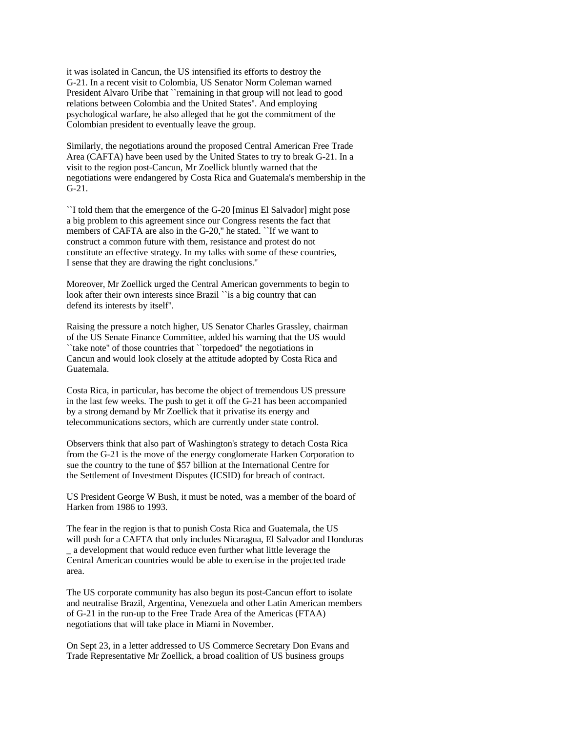it was isolated in Cancun, the US intensified its efforts to destroy the G-21. In a recent visit to Colombia, US Senator Norm Coleman warned President Alvaro Uribe that ``remaining in that group will not lead to good relations between Colombia and the United States''. And employing psychological warfare, he also alleged that he got the commitment of the Colombian president to eventually leave the group.

Similarly, the negotiations around the proposed Central American Free Trade Area (CAFTA) have been used by the United States to try to break G-21. In a visit to the region post-Cancun, Mr Zoellick bluntly warned that the negotiations were endangered by Costa Rica and Guatemala's membership in the G-21.

``I told them that the emergence of the G-20 [minus El Salvador] might pose a big problem to this agreement since our Congress resents the fact that members of CAFTA are also in the G-20,'' he stated. ``If we want to construct a common future with them, resistance and protest do not constitute an effective strategy. In my talks with some of these countries, I sense that they are drawing the right conclusions.''

Moreover, Mr Zoellick urged the Central American governments to begin to look after their own interests since Brazil ``is a big country that can defend its interests by itself''.

Raising the pressure a notch higher, US Senator Charles Grassley, chairman of the US Senate Finance Committee, added his warning that the US would ``take note'' of those countries that ``torpedoed'' the negotiations in Cancun and would look closely at the attitude adopted by Costa Rica and Guatemala.

Costa Rica, in particular, has become the object of tremendous US pressure in the last few weeks. The push to get it off the G-21 has been accompanied by a strong demand by Mr Zoellick that it privatise its energy and telecommunications sectors, which are currently under state control.

Observers think that also part of Washington's strategy to detach Costa Rica from the G-21 is the move of the energy conglomerate Harken Corporation to sue the country to the tune of \$57 billion at the International Centre for the Settlement of Investment Disputes (ICSID) for breach of contract.

US President George W Bush, it must be noted, was a member of the board of Harken from 1986 to 1993.

The fear in the region is that to punish Costa Rica and Guatemala, the US will push for a CAFTA that only includes Nicaragua, El Salvador and Honduras \_ a development that would reduce even further what little leverage the Central American countries would be able to exercise in the projected trade area.

The US corporate community has also begun its post-Cancun effort to isolate and neutralise Brazil, Argentina, Venezuela and other Latin American members of G-21 in the run-up to the Free Trade Area of the Americas (FTAA) negotiations that will take place in Miami in November.

On Sept 23, in a letter addressed to US Commerce Secretary Don Evans and Trade Representative Mr Zoellick, a broad coalition of US business groups